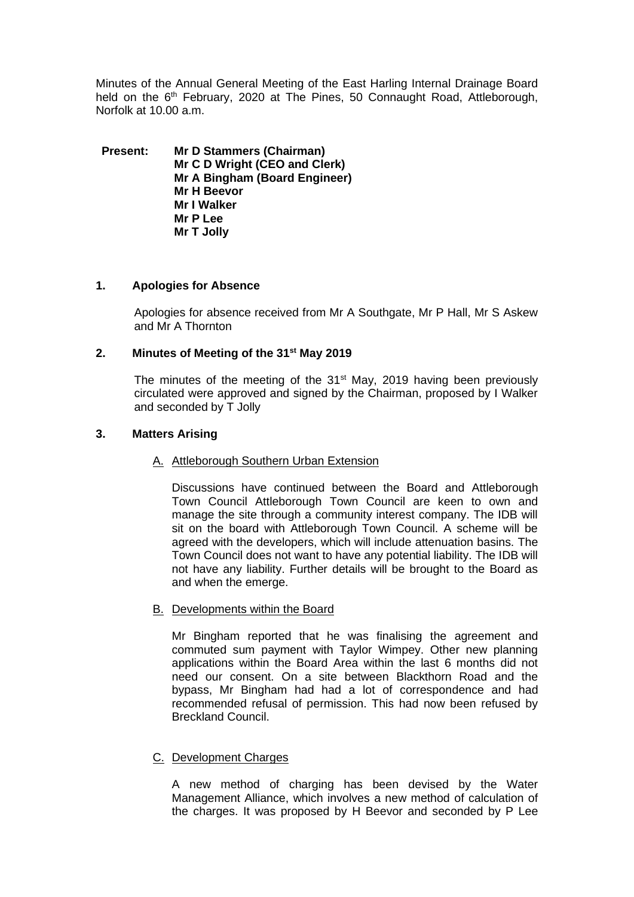Minutes of the Annual General Meeting of the East Harling Internal Drainage Board held on the 6<sup>th</sup> February, 2020 at The Pines, 50 Connaught Road, Attleborough, Norfolk at 10.00 a.m.

**Present: Mr D Stammers (Chairman) Mr C D Wright (CEO and Clerk) Mr A Bingham (Board Engineer) Mr H Beevor Mr I Walker Mr P Lee Mr T Jolly**

#### **1. Apologies for Absence**

Apologies for absence received from Mr A Southgate, Mr P Hall, Mr S Askew and Mr A Thornton

# **2. Minutes of Meeting of the 31st May 2019**

The minutes of the meeting of the  $31<sup>st</sup>$  May, 2019 having been previously circulated were approved and signed by the Chairman, proposed by I Walker and seconded by T Jolly

#### **3. Matters Arising**

#### A. Attleborough Southern Urban Extension

Discussions have continued between the Board and Attleborough Town Council Attleborough Town Council are keen to own and manage the site through a community interest company. The IDB will sit on the board with Attleborough Town Council. A scheme will be agreed with the developers, which will include attenuation basins. The Town Council does not want to have any potential liability. The IDB will not have any liability. Further details will be brought to the Board as and when the emerge.

#### B. Developments within the Board

Mr Bingham reported that he was finalising the agreement and commuted sum payment with Taylor Wimpey. Other new planning applications within the Board Area within the last 6 months did not need our consent. On a site between Blackthorn Road and the bypass, Mr Bingham had had a lot of correspondence and had recommended refusal of permission. This had now been refused by Breckland Council.

# C. Development Charges

A new method of charging has been devised by the Water Management Alliance, which involves a new method of calculation of the charges. It was proposed by H Beevor and seconded by P Lee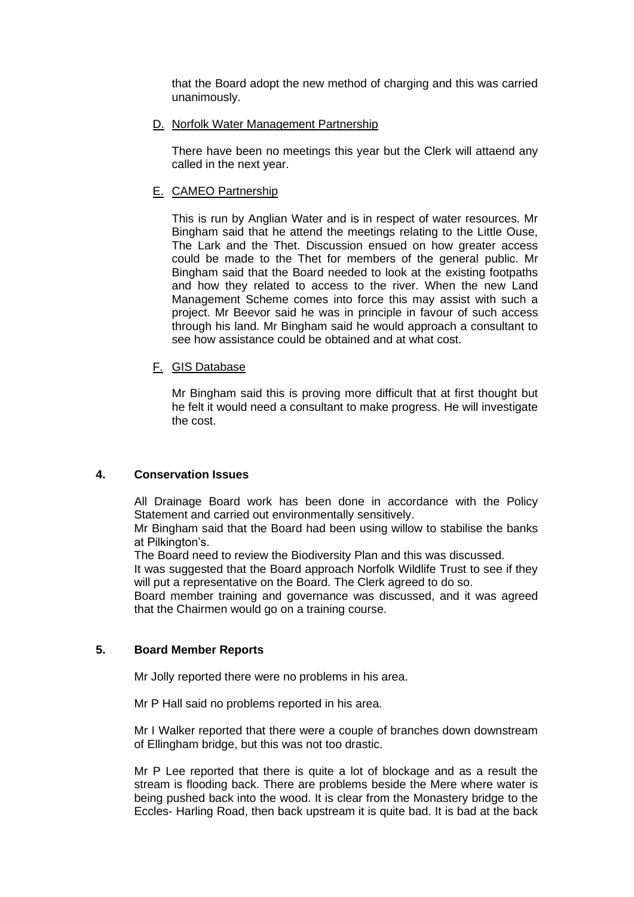that the Board adopt the new method of charging and this was carried unanimously.

#### D. Norfolk Water Management Partnership

There have been no meetings this year but the Clerk will attaend any called in the next year.

# E. CAMEO Partnership

This is run by Anglian Water and is in respect of water resources. Mr Bingham said that he attend the meetings relating to the Little Ouse, The Lark and the Thet. Discussion ensued on how greater access could be made to the Thet for members of the general public. Mr Bingham said that the Board needed to look at the existing footpaths and how they related to access to the river. When the new Land Management Scheme comes into force this may assist with such a project. Mr Beevor said he was in principle in favour of such access through his land. Mr Bingham said he would approach a consultant to see how assistance could be obtained and at what cost.

# F. GIS Database

Mr Bingham said this is proving more difficult that at first thought but he felt it would need a consultant to make progress. He will investigate the cost.

# **4. Conservation Issues**

All Drainage Board work has been done in accordance with the Policy Statement and carried out environmentally sensitively.

Mr Bingham said that the Board had been using willow to stabilise the banks at Pilkington's.

The Board need to review the Biodiversity Plan and this was discussed.

It was suggested that the Board approach Norfolk Wildlife Trust to see if they will put a representative on the Board. The Clerk agreed to do so.

Board member training and governance was discussed, and it was agreed that the Chairmen would go on a training course.

# **5. Board Member Reports**

Mr Jolly reported there were no problems in his area.

Mr P Hall said no problems reported in his area.

Mr I Walker reported that there were a couple of branches down downstream of Ellingham bridge, but this was not too drastic.

Mr P Lee reported that there is quite a lot of blockage and as a result the stream is flooding back. There are problems beside the Mere where water is being pushed back into the wood. It is clear from the Monastery bridge to the Eccles- Harling Road, then back upstream it is quite bad. It is bad at the back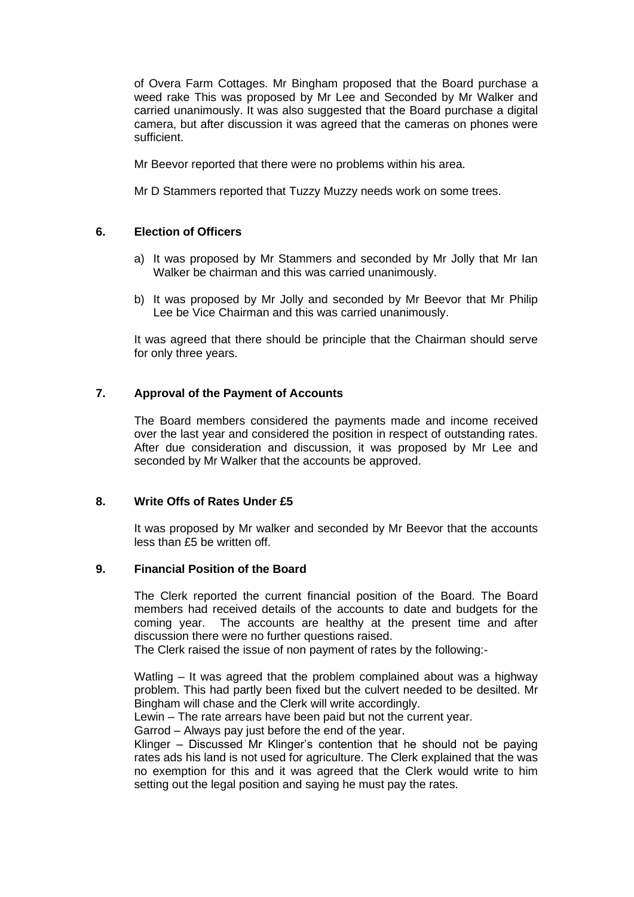of Overa Farm Cottages. Mr Bingham proposed that the Board purchase a weed rake This was proposed by Mr Lee and Seconded by Mr Walker and carried unanimously. It was also suggested that the Board purchase a digital camera, but after discussion it was agreed that the cameras on phones were sufficient.

Mr Beevor reported that there were no problems within his area.

Mr D Stammers reported that Tuzzy Muzzy needs work on some trees.

# **6. Election of Officers**

- a) It was proposed by Mr Stammers and seconded by Mr Jolly that Mr Ian Walker be chairman and this was carried unanimously.
- b) It was proposed by Mr Jolly and seconded by Mr Beevor that Mr Philip Lee be Vice Chairman and this was carried unanimously.

It was agreed that there should be principle that the Chairman should serve for only three years.

# **7. Approval of the Payment of Accounts**

The Board members considered the payments made and income received over the last year and considered the position in respect of outstanding rates. After due consideration and discussion, it was proposed by Mr Lee and seconded by Mr Walker that the accounts be approved.

# **8. Write Offs of Rates Under £5**

It was proposed by Mr walker and seconded by Mr Beevor that the accounts less than £5 be written off.

#### **9. Financial Position of the Board**

The Clerk reported the current financial position of the Board. The Board members had received details of the accounts to date and budgets for the coming year. The accounts are healthy at the present time and after discussion there were no further questions raised.

The Clerk raised the issue of non payment of rates by the following:-

Watling – It was agreed that the problem complained about was a highway problem. This had partly been fixed but the culvert needed to be desilted. Mr Bingham will chase and the Clerk will write accordingly.

Lewin – The rate arrears have been paid but not the current year.

Garrod – Always pay just before the end of the year.

Klinger – Discussed Mr Klinger's contention that he should not be paying rates ads his land is not used for agriculture. The Clerk explained that the was no exemption for this and it was agreed that the Clerk would write to him setting out the legal position and saying he must pay the rates.